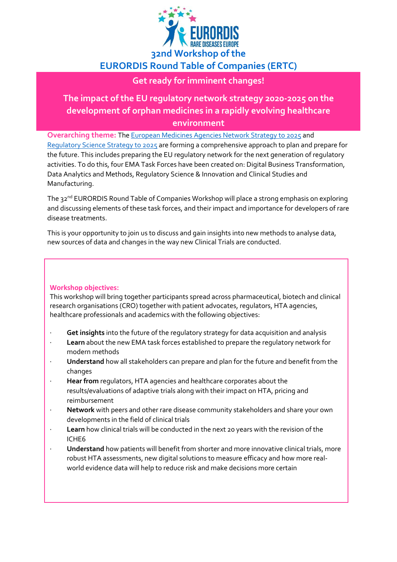

### **EURORDIS Round Table of Companies (ERTC)**

### **Get ready for imminent changes!**

### **The impact of the EU regulatory network strategy 2020-2025 on the development of orphan medicines in a rapidly evolving healthcare environment**

**Overarching theme:** Th[e European Medicines Agencies Network Strategy to 2025](https://www.ema.europa.eu/en/documents/report/european-union-medicines-agencies-network-strategy-2025-protecting-public-health-time-rapid-change_en.pdf) and

[Regulatory Science Strategy to 2025](https://www.ema.europa.eu/en/about-us/how-we-work/regulatory-science-strategy#regulatory-science-strategy-to-2025-section) are forming a comprehensive approach to plan and prepare for the future. This includes preparing the EU regulatory network for the next generation of regulatory activities. To do this, four EMA Task Forces have been created on: Digital Business Transformation, Data Analytics and Methods, Regulatory Science & Innovation and Clinical Studies and Manufacturing.

The 32<sup>nd</sup> EURORDIS Round Table of Companies Workshop will place a strong emphasis on exploring and discussing elements of these task forces, and their impact and importance for developers of rare disease treatments.

This is your opportunity to join us to discuss and gain insights into new methods to analyse data, new sources of data and changes in the way new Clinical Trials are conducted.

#### **Workshop objectives:**

This workshop will bring together participants spread across pharmaceutical, biotech and clinical research organisations (CRO) together with patient advocates, regulators, HTA agencies, healthcare professionals and academics with the following objectives:

- · **Get insights** into the future of the regulatory strategy for data acquisition and analysis
- · **Learn** about the new EMA task forces established to prepare the regulatory network for modern methods
- · **Understand** how all stakeholders can prepare and plan for the future and benefit from the changes
- · **Hear from** regulators, HTA agencies and healthcare corporates about the results/evaluations of adaptive trials along with their impact on HTA, pricing and reimbursement
- Network with peers and other rare disease community stakeholders and share your own developments in the field of clinical trials
- Learn how clinical trials will be conducted in the next 20 years with the revision of the ICHE6
- · **Understand** how patients will benefit from shorter and more innovative clinical trials, more robust HTA assessments, new digital solutions to measure efficacy and how more realworld evidence data will help to reduce risk and make decisions more certain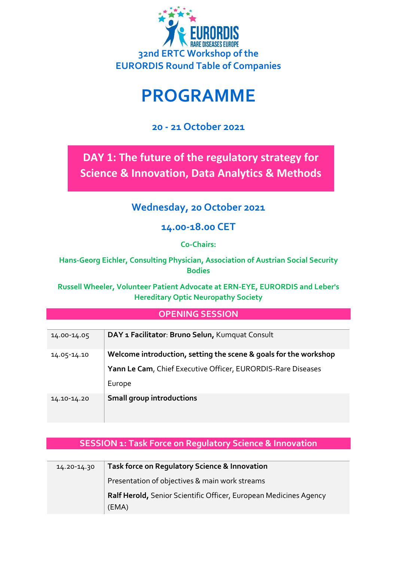

# **PROGRAMME**

### **20 - 21 October 2021**

**DAY 1: The future of the regulatory strategy for Science & Innovation, Data Analytics & Methods**

### **Wednesday, 20 October 2021**

### **14.00-18.00 CET**

**Co-Chairs:** 

**Hans-Georg Eichler, Consulting Physician, Association of Austrian Social Security Bodies**

**Russell Wheeler, Volunteer Patient Advocate at ERN-EYE, EURORDIS and Leber's Hereditary Optic Neuropathy Society**

### **OPENING SESSION**

| 14.00-14.05 | DAY 1 Facilitator: Bruno Selun, Kumquat Consult                                                                                  |
|-------------|----------------------------------------------------------------------------------------------------------------------------------|
| 14.05-14.10 | Welcome introduction, setting the scene & goals for the workshop<br>Yann Le Cam, Chief Executive Officer, EURORDIS-Rare Diseases |
|             | Europe                                                                                                                           |
| 14.10-14.20 | <b>Small group introductions</b>                                                                                                 |

### **SESSION 1: Task Force on Regulatory Science & Innovation**

| 14.20-14.30 | Task force on Regulatory Science & Innovation                     |
|-------------|-------------------------------------------------------------------|
|             | Presentation of objectives & main work streams                    |
|             | Ralf Herold, Senior Scientific Officer, European Medicines Agency |
|             | (EMA)                                                             |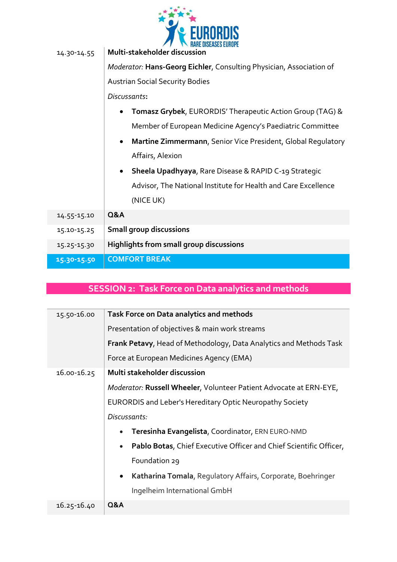

| 14.30-14.55 | RARE DISEASES EUROPE<br>Multi-stakeholder discussion                             |
|-------------|----------------------------------------------------------------------------------|
|             | Moderator: Hans-Georg Eichler, Consulting Physician, Association of              |
|             | <b>Austrian Social Security Bodies</b>                                           |
|             | Discussants:                                                                     |
|             | Tomasz Grybek, EURORDIS' Therapeutic Action Group (TAG) &                        |
|             | Member of European Medicine Agency's Paediatric Committee                        |
|             | <b>Martine Zimmermann, Senior Vice President, Global Regulatory</b><br>$\bullet$ |
|             | Affairs, Alexion                                                                 |
|             | <b>Sheela Upadhyaya, Rare Disease &amp; RAPID C-19 Strategic</b><br>$\bullet$    |
|             | Advisor, The National Institute for Health and Care Excellence                   |
|             | (NICE UK)                                                                        |
| 14.55-15.10 | <b>Q&amp;A</b>                                                                   |
| 15.10-15.25 | <b>Small group discussions</b>                                                   |
| 15.25-15.30 | <b>Highlights from small group discussions</b>                                   |
| 15.30-15.50 | <b>COMFORT BREAK</b>                                                             |

### **SESSION 2: Task Force on Data analytics and methods**

| 15.50-16.00 | Task Force on Data analytics and methods                                        |
|-------------|---------------------------------------------------------------------------------|
|             | Presentation of objectives & main work streams                                  |
|             | <b>Frank Petavy, Head of Methodology, Data Analytics and Methods Task</b>       |
|             | Force at European Medicines Agency (EMA)                                        |
| 16.00-16.25 | Multi stakeholder discussion                                                    |
|             | <i>Moderator:</i> Russell Wheeler, Volunteer Patient Advocate at ERN-EYE,       |
|             | <b>EURORDIS and Leber's Hereditary Optic Neuropathy Society</b>                 |
|             | Discussants:                                                                    |
|             | Teresinha Evangelista, Coordinator, ERN EURO-NMD                                |
|             | Pablo Botas, Chief Executive Officer and Chief Scientific Officer,<br>$\bullet$ |
|             | Foundation 29                                                                   |
|             | Katharina Tomala, Regulatory Affairs, Corporate, Boehringer                     |
|             | Ingelheim International GmbH                                                    |
| 16.25-16.40 | <b>Q&amp;A</b>                                                                  |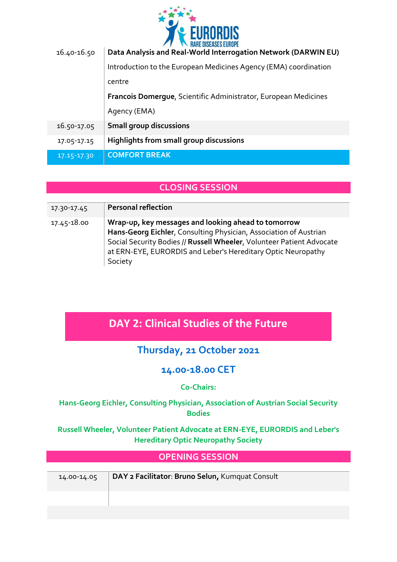

| 16.40-16.50 | Data Analysis and Real-World Interrogation Network (DARWIN EU)   |
|-------------|------------------------------------------------------------------|
|             | Introduction to the European Medicines Agency (EMA) coordination |
|             | centre                                                           |
|             | Francois Domerque, Scientific Administrator, European Medicines  |
|             | Agency (EMA)                                                     |
| 16.50-17.05 | <b>Small group discussions</b>                                   |
| 17.05-17.15 | Highlights from small group discussions                          |
| 17.15-17.30 | <b>COMFORT BREAK</b>                                             |

### **CLOSING SESSION**

| 17.30-17.45 | <b>Personal reflection</b>                                                                                                                                                                                                                                                   |
|-------------|------------------------------------------------------------------------------------------------------------------------------------------------------------------------------------------------------------------------------------------------------------------------------|
| 17.45-18.00 | Wrap-up, key messages and looking ahead to tomorrow<br>Hans-Georg Eichler, Consulting Physician, Association of Austrian<br>Social Security Bodies // Russell Wheeler, Volunteer Patient Advocate<br>at ERN-EYE, EURORDIS and Leber's Hereditary Optic Neuropathy<br>Society |

### **DAY 2: Clinical Studies of the Future**

### **Thursday, 21 October 2021**

### **14.00-18.00 CET**

#### **Co-Chairs:**

#### **Hans-Georg Eichler, Consulting Physician, Association of Austrian Social Security Bodies**

#### **Russell Wheeler, Volunteer Patient Advocate at ERN-EYE, EURORDIS and Leber's Hereditary Optic Neuropathy Society**

| <b>OPENING SESSION</b> |                                                 |
|------------------------|-------------------------------------------------|
|                        |                                                 |
| 14.00-14.05            | DAY 2 Facilitator: Bruno Selun, Kumquat Consult |
|                        |                                                 |
|                        |                                                 |
|                        |                                                 |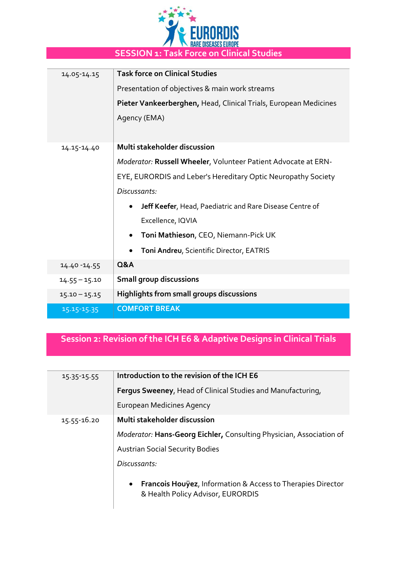

| 14.05-14.15     | <b>Task force on Clinical Studies</b>                                 |
|-----------------|-----------------------------------------------------------------------|
|                 | Presentation of objectives & main work streams                        |
|                 | Pieter Vankeerberghen, Head, Clinical Trials, European Medicines      |
|                 | Agency (EMA)                                                          |
|                 |                                                                       |
| 14.15-14.40     | Multi stakeholder discussion                                          |
|                 | Moderator: Russell Wheeler, Volunteer Patient Advocate at ERN-        |
|                 | EYE, EURORDIS and Leber's Hereditary Optic Neuropathy Society         |
|                 | Discussants:                                                          |
|                 | Jeff Keefer, Head, Paediatric and Rare Disease Centre of<br>$\bullet$ |
|                 | Excellence, IQVIA                                                     |
|                 | Toni Mathieson, CEO, Niemann-Pick UK<br>$\bullet$                     |
|                 | Toni Andreu, Scientific Director, EATRIS                              |
| $14.40 - 14.55$ | <b>Q&amp;A</b>                                                        |
| $14.55 - 15.10$ | <b>Small group discussions</b>                                        |
| $15.10 - 15.15$ | <b>Highlights from small groups discussions</b>                       |
| 15.15-15.35     | <b>COMFORT BREAK</b>                                                  |

## **Session 2: Revision of the ICH E6 & Adaptive Designs in Clinical Trials**

| $15.35 - 15.55$ | Introduction to the revision of the ICH E6                                                                               |
|-----------------|--------------------------------------------------------------------------------------------------------------------------|
|                 | Fergus Sweeney, Head of Clinical Studies and Manufacturing,                                                              |
|                 | European Medicines Agency                                                                                                |
| 15.55-16.20     | Multi stakeholder discussion                                                                                             |
|                 | Moderator: Hans-Georg Eichler, Consulting Physician, Association of                                                      |
|                 | <b>Austrian Social Security Bodies</b>                                                                                   |
|                 | Discussants:                                                                                                             |
|                 | <b>Francois Houyez, Information &amp; Access to Therapies Director</b><br>$\bullet$<br>& Health Policy Advisor, EURORDIS |